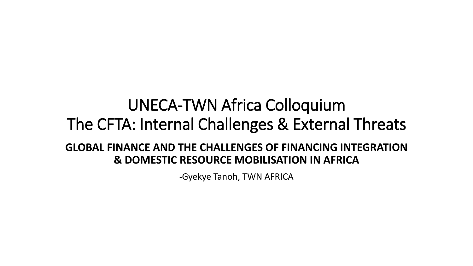### UNECA-TWN Africa Colloquium The CFTA: Internal Challenges & External Threats **GLOBAL FINANCE AND THE CHALLENGES OF FINANCING INTEGRATION & DOMESTIC RESOURCE MOBILISATION IN AFRICA**

-Gyekye Tanoh, TWN AFRICA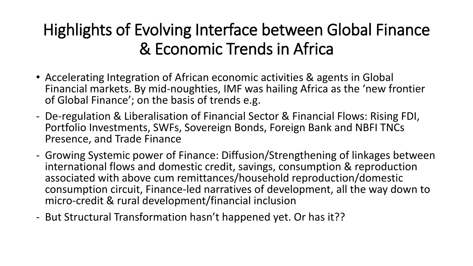# Highlights of Evolving Interface between Global Finance & Economic Trends in Africa

- Accelerating Integration of African economic activities & agents in Global Financial markets. By mid-noughties, IMF was hailing Africa as the 'new frontier of Global Finance'; on the basis of trends e.g.
- De-regulation & Liberalisation of Financial Sector & Financial Flows: Rising FDI, Portfolio Investments, SWFs, Sovereign Bonds, Foreign Bank and NBFI TNCs Presence, and Trade Finance
- Growing Systemic power of Finance: Diffusion/Strengthening of linkages between international flows and domestic credit, savings, consumption & reproduction associated with above cum remittances/household reproduction/domestic consumption circuit, Finance-led narratives of development, all the way down to micro-credit & rural development/financial inclusion
- But Structural Transformation hasn't happened yet. Or has it??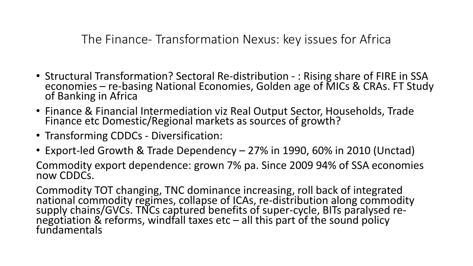The Finance- Transformation Nexus: key issues for Africa

- Structural Transformation? Sectoral Re-distribution : Rising share of FIRE in SSA economies – re-basing National Economies, Golden age of MICs & CRAs. FT Study of Banking in Africa
- Finance & Financial Intermediation viz Real Output Sector, Households, Trade Finance etc Domestic/Regional markets as sources of growth?
- Transforming CDDCs Diversification:
- Export-led Growth & Trade Dependency 27% in 1990, 60% in 2010 (Unctad)

Commodity export dependence: grown 7% pa. Since 2009 94% of SSA economies now CDDCs.

Commodity TOT changing, TNC dominance increasing, roll back of integrated national commodity regimes, collapse of ICAs, re-distribution along commodity supply chains/GVCs. TNCs captured benefits of super-cycle, BITs paralysed renegotiation & reforms, windfall taxes etc – all this part of the sound policy fundamentals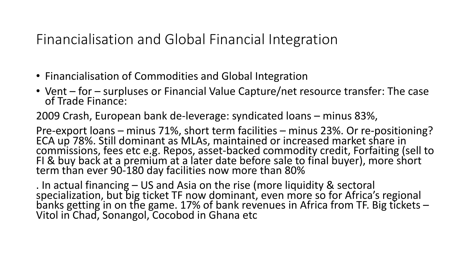Financialisation and Global Financial Integration

- Financialisation of Commodities and Global Integration
- Vent for surpluses or Financial Value Capture/net resource transfer: The case of Trade Finance:

2009 Crash, European bank de-leverage: syndicated loans – minus 83%,

Pre-export loans – minus 71%, short term facilities – minus 23%. Or re-positioning? ECA up 78%. Still dominant as MLAs, maintained or increased market share in commissions, fees etc e.g. Repos, asset-backed commodity credit, Forfaiting (sell to FI & buy back at a premium at a later date before sale to final buyer), more short term than ever 90-180 day facilities now more than 80%

. In actual financing – US and Asia on the rise (more liquidity & sectoral specialization, but big ticket TF now dominant, even more so for Africa's regional banks getting in on the game. 17% of bank revenues in Africa from TF. Big tickets – Vitol in Chad, Sonangol, Cocobod in Ghana etc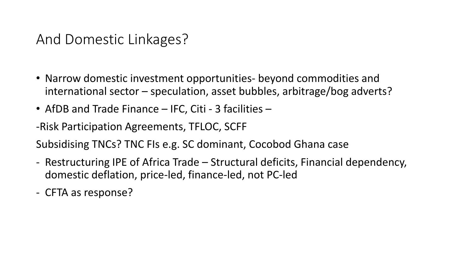#### And Domestic Linkages?

- Narrow domestic investment opportunities- beyond commodities and international sector – speculation, asset bubbles, arbitrage/bog adverts?
- AfDB and Trade Finance IFC, Citi 3 facilities –

-Risk Participation Agreements, TFLOC, SCFF

Subsidising TNCs? TNC FIs e.g. SC dominant, Cocobod Ghana case

- Restructuring IPE of Africa Trade Structural deficits, Financial dependency, domestic deflation, price-led, finance-led, not PC-led
- CFTA as response?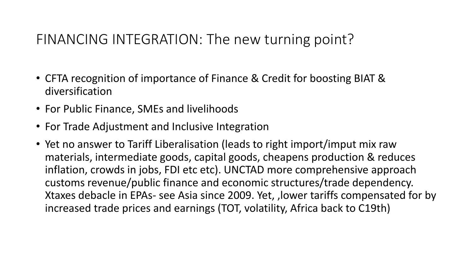#### FINANCING INTEGRATION: The new turning point?

- CFTA recognition of importance of Finance & Credit for boosting BIAT & diversification
- For Public Finance, SMEs and livelihoods
- For Trade Adjustment and Inclusive Integration
- Yet no answer to Tariff Liberalisation (leads to right import/imput mix raw materials, intermediate goods, capital goods, cheapens production & reduces inflation, crowds in jobs, FDI etc etc). UNCTAD more comprehensive approach customs revenue/public finance and economic structures/trade dependency. Xtaxes debacle in EPAs- see Asia since 2009. Yet, ,lower tariffs compensated for by increased trade prices and earnings (TOT, volatility, Africa back to C19th)